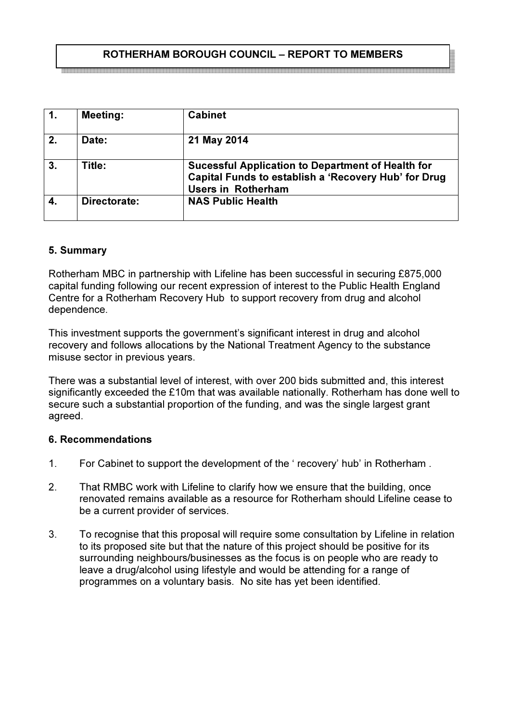## ROTHERHAM BOROUGH COUNCIL – REPORT TO MEMBERS

| l 1.             | <b>Meeting:</b> | <b>Cabinet</b>                                                                                                                                |
|------------------|-----------------|-----------------------------------------------------------------------------------------------------------------------------------------------|
| $\overline{2}$   | Date:           | 21 May 2014                                                                                                                                   |
| $\overline{3}$ . | Title:          | <b>Sucessful Application to Department of Health for</b><br>Capital Funds to establish a 'Recovery Hub' for Drug<br><b>Users in Rotherham</b> |
|                  | Directorate:    | <b>NAS Public Health</b>                                                                                                                      |

## 5. Summary

Rotherham MBC in partnership with Lifeline has been successful in securing £875,000 capital funding following our recent expression of interest to the Public Health England Centre for a Rotherham Recovery Hub to support recovery from drug and alcohol dependence.

This investment supports the government's significant interest in drug and alcohol recovery and follows allocations by the National Treatment Agency to the substance misuse sector in previous years.

There was a substantial level of interest, with over 200 bids submitted and, this interest significantly exceeded the £10m that was available nationally. Rotherham has done well to secure such a substantial proportion of the funding, and was the single largest grant agreed.

#### 6. Recommendations

- 1. For Cabinet to support the development of the ' recovery' hub' in Rotherham .
- 2. That RMBC work with Lifeline to clarify how we ensure that the building, once renovated remains available as a resource for Rotherham should Lifeline cease to be a current provider of services.
- 3. To recognise that this proposal will require some consultation by Lifeline in relation to its proposed site but that the nature of this project should be positive for its surrounding neighbours/businesses as the focus is on people who are ready to leave a drug/alcohol using lifestyle and would be attending for a range of programmes on a voluntary basis. No site has yet been identified.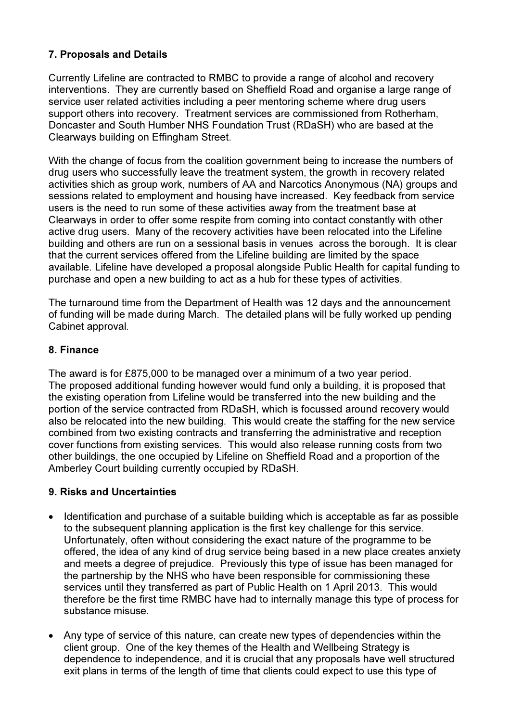# 7. Proposals and Details

Currently Lifeline are contracted to RMBC to provide a range of alcohol and recovery interventions. They are currently based on Sheffield Road and organise a large range of service user related activities including a peer mentoring scheme where drug users support others into recovery. Treatment services are commissioned from Rotherham, Doncaster and South Humber NHS Foundation Trust (RDaSH) who are based at the Clearways building on Effingham Street.

With the change of focus from the coalition government being to increase the numbers of drug users who successfully leave the treatment system, the growth in recovery related activities shich as group work, numbers of AA and Narcotics Anonymous (NA) groups and sessions related to employment and housing have increased. Key feedback from service users is the need to run some of these activities away from the treatment base at Clearways in order to offer some respite from coming into contact constantly with other active drug users. Many of the recovery activities have been relocated into the Lifeline building and others are run on a sessional basis in venues across the borough. It is clear that the current services offered from the Lifeline building are limited by the space available. Lifeline have developed a proposal alongside Public Health for capital funding to purchase and open a new building to act as a hub for these types of activities.

The turnaround time from the Department of Health was 12 days and the announcement of funding will be made during March. The detailed plans will be fully worked up pending Cabinet approval.

### 8. Finance

The award is for £875,000 to be managed over a minimum of a two year period. The proposed additional funding however would fund only a building, it is proposed that the existing operation from Lifeline would be transferred into the new building and the portion of the service contracted from RDaSH, which is focussed around recovery would also be relocated into the new building. This would create the staffing for the new service combined from two existing contracts and transferring the administrative and reception cover functions from existing services. This would also release running costs from two other buildings, the one occupied by Lifeline on Sheffield Road and a proportion of the Amberley Court building currently occupied by RDaSH.

## 9. Risks and Uncertainties

- Identification and purchase of a suitable building which is acceptable as far as possible to the subsequent planning application is the first key challenge for this service. Unfortunately, often without considering the exact nature of the programme to be offered, the idea of any kind of drug service being based in a new place creates anxiety and meets a degree of prejudice. Previously this type of issue has been managed for the partnership by the NHS who have been responsible for commissioning these services until they transferred as part of Public Health on 1 April 2013. This would therefore be the first time RMBC have had to internally manage this type of process for substance misuse.
- Any type of service of this nature, can create new types of dependencies within the client group. One of the key themes of the Health and Wellbeing Strategy is dependence to independence, and it is crucial that any proposals have well structured exit plans in terms of the length of time that clients could expect to use this type of